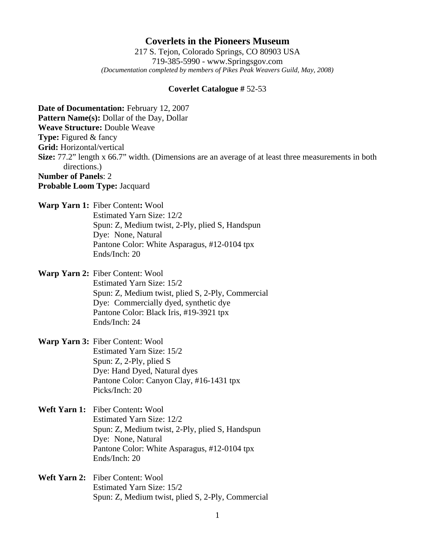## **Coverlets in the Pioneers Museum**

217 S. Tejon, Colorado Springs, CO 80903 USA 719-385-5990 - www.Springsgov.com *(Documentation completed by members of Pikes Peak Weavers Guild, May, 2008)* 

## **Coverlet Catalogue #** 52-53

**Date of Documentation:** February 12, 2007 **Pattern Name(s):** Dollar of the Day, Dollar **Weave Structure:** Double Weave **Type:** Figured & fancy **Grid:** Horizontal/vertical **Size:** 77.2" length x 66.7" width. (Dimensions are an average of at least three measurements in both directions.) **Number of Panels**: 2 **Probable Loom Type:** Jacquard

**Warp Yarn 1:** Fiber Content**:** Wool

 Estimated Yarn Size: 12/2 Spun: Z, Medium twist, 2-Ply, plied S, Handspun Dye: None, Natural Pantone Color: White Asparagus, #12-0104 tpx Ends/Inch: 20

**Warp Yarn 2:** Fiber Content: Wool

 Estimated Yarn Size: 15/2 Spun: Z, Medium twist, plied S, 2-Ply, Commercial Dye: Commercially dyed, synthetic dye Pantone Color: Black Iris, #19-3921 tpx Ends/Inch: 24

**Warp Yarn 3:** Fiber Content: Wool Estimated Yarn Size: 15/2 Spun: Z, 2-Ply, plied S Dye: Hand Dyed, Natural dyes Pantone Color: Canyon Clay, #16-1431 tpx Picks/Inch: 20

**Weft Yarn 1:** Fiber Content**:** Wool Estimated Yarn Size: 12/2 Spun: Z, Medium twist, 2-Ply, plied S, Handspun Dye: None, Natural Pantone Color: White Asparagus, #12-0104 tpx Ends/Inch: 20

**Weft Yarn 2:** Fiber Content: Wool Estimated Yarn Size: 15/2 Spun: Z, Medium twist, plied S, 2-Ply, Commercial